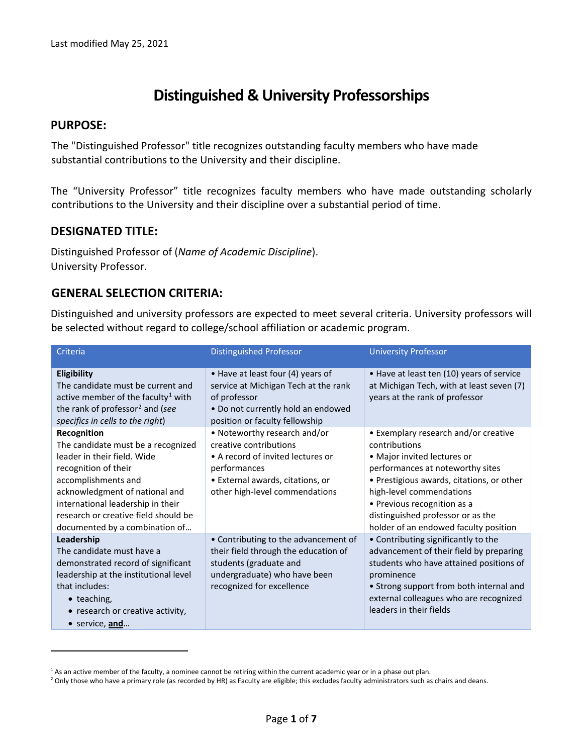# **Distinguished & University Professorships**

## **PURPOSE:**

 $\overline{a}$ 

The "Distinguished Professor" title recognizes outstanding faculty members who have made substantial contributions to the University and their discipline.

The "University Professor" title recognizes faculty members who have made outstanding scholarly contributions to the University and their discipline over a substantial period of time.

# **DESIGNATED TITLE:**

Distinguished Professor of (*Name of Academic Discipline*). University Professor.

# **GENERAL SELECTION CRITERIA:**

Distinguished and university professors are expected to meet several criteria. University professors will be selected without regard to college/school affiliation or academic program.

| Criteria                                                                                                                                                                                                                                                                         | <b>Distinguished Professor</b>                                                                                                                                                    | <b>University Professor</b>                                                                                                                                                                                                                                                                                    |
|----------------------------------------------------------------------------------------------------------------------------------------------------------------------------------------------------------------------------------------------------------------------------------|-----------------------------------------------------------------------------------------------------------------------------------------------------------------------------------|----------------------------------------------------------------------------------------------------------------------------------------------------------------------------------------------------------------------------------------------------------------------------------------------------------------|
| Eligibility<br>The candidate must be current and<br>active member of the faculty <sup>1</sup> with<br>the rank of professor <sup>2</sup> and (see<br>specifics in cells to the right)                                                                                            | • Have at least four (4) years of<br>service at Michigan Tech at the rank<br>of professor<br>• Do not currently hold an endowed<br>position or faculty fellowship                 | • Have at least ten (10) years of service<br>at Michigan Tech, with at least seven (7)<br>years at the rank of professor                                                                                                                                                                                       |
| Recognition<br>The candidate must be a recognized<br>leader in their field. Wide<br>recognition of their<br>accomplishments and<br>acknowledgment of national and<br>international leadership in their<br>research or creative field should be<br>documented by a combination of | • Noteworthy research and/or<br>creative contributions<br>• A record of invited lectures or<br>performances<br>· External awards, citations, or<br>other high-level commendations | • Exemplary research and/or creative<br>contributions<br>• Major invited lectures or<br>performances at noteworthy sites<br>• Prestigious awards, citations, or other<br>high-level commendations<br>• Previous recognition as a<br>distinguished professor or as the<br>holder of an endowed faculty position |
| Leadership<br>The candidate must have a<br>demonstrated record of significant<br>leadership at the institutional level<br>that includes:<br>• teaching,<br>• research or creative activity,<br>• service, and                                                                    | • Contributing to the advancement of<br>their field through the education of<br>students (graduate and<br>undergraduate) who have been<br>recognized for excellence               | • Contributing significantly to the<br>advancement of their field by preparing<br>students who have attained positions of<br>prominence<br>• Strong support from both internal and<br>external colleagues who are recognized<br>leaders in their fields                                                        |

<span id="page-0-0"></span> $1$  As an active member of the faculty, a nominee cannot be retiring within the current academic year or in a phase out plan.

<span id="page-0-1"></span><sup>&</sup>lt;sup>2</sup> Only those who have a primary role (as recorded by HR) as Faculty are eligible; this excludes faculty administrators such as chairs and deans.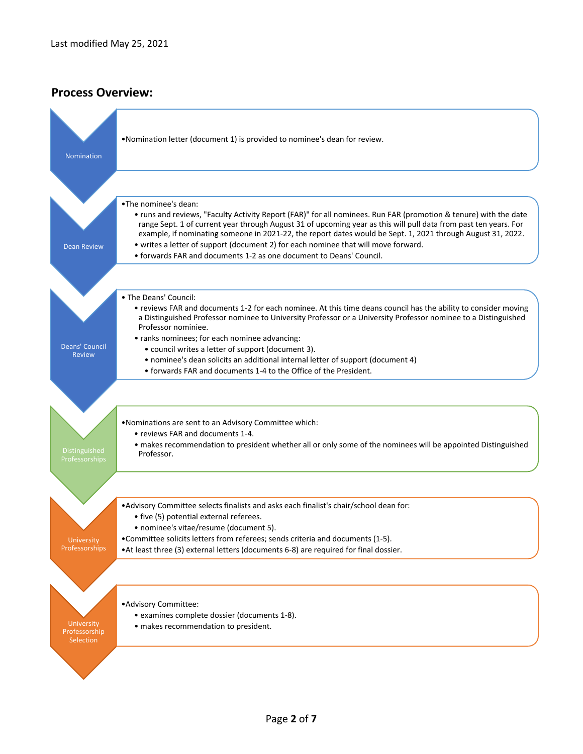# **Process Overview:**

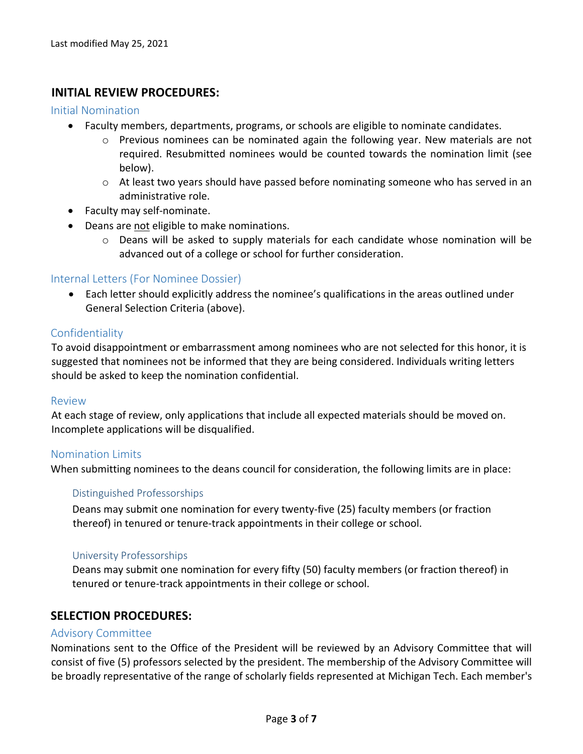## **INITIAL REVIEW PROCEDURES:**

#### Initial Nomination

- Faculty members, departments, programs, or schools are eligible to nominate candidates.
	- o Previous nominees can be nominated again the following year. New materials are not required. Resubmitted nominees would be counted towards the nomination limit (see below).
	- $\circ$  At least two years should have passed before nominating someone who has served in an administrative role.
- Faculty may self-nominate.
- Deans are not eligible to make nominations.
	- $\circ$  Deans will be asked to supply materials for each candidate whose nomination will be advanced out of a college or school for further consideration.

#### Internal Letters (For Nominee Dossier)

• Each letter should explicitly address the nominee's qualifications in the areas outlined under General Selection Criteria (above).

#### Confidentiality

To avoid disappointment or embarrassment among nominees who are not selected for this honor, it is suggested that nominees not be informed that they are being considered. Individuals writing letters should be asked to keep the nomination confidential.

#### Review

At each stage of review, only applications that include all expected materials should be moved on. Incomplete applications will be disqualified.

#### Nomination Limits

When submitting nominees to the deans council for consideration, the following limits are in place:

#### Distinguished Professorships

Deans may submit one nomination for every twenty‐five (25) faculty members (or fraction thereof) in tenured or tenure‐track appointments in their college or school.

#### University Professorships

Deans may submit one nomination for every fifty (50) faculty members (or fraction thereof) in tenured or tenure‐track appointments in their college or school.

## **SELECTION PROCEDURES:**

#### Advisory Committee

Nominations sent to the Office of the President will be reviewed by an Advisory Committee that will consist of five (5) professors selected by the president. The membership of the Advisory Committee will be broadly representative of the range of scholarly fields represented at Michigan Tech. Each member's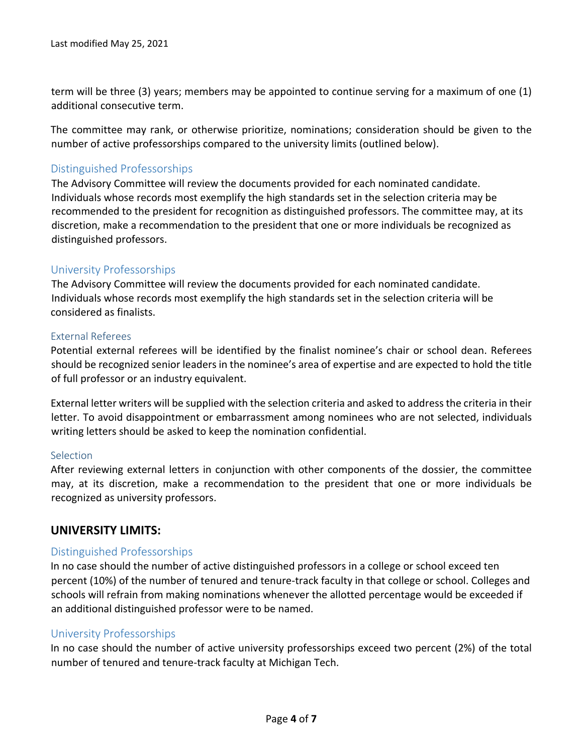term will be three (3) years; members may be appointed to continue serving for a maximum of one (1) additional consecutive term.

The committee may rank, or otherwise prioritize, nominations; consideration should be given to the number of active professorships compared to the university limits (outlined below).

# Distinguished Professorships

The Advisory Committee will review the documents provided for each nominated candidate. Individuals whose records most exemplify the high standards set in the selection criteria may be recommended to the president for recognition as distinguished professors. The committee may, at its discretion, make a recommendation to the president that one or more individuals be recognized as distinguished professors.

## University Professorships

The Advisory Committee will review the documents provided for each nominated candidate. Individuals whose records most exemplify the high standards set in the selection criteria will be considered as finalists.

#### External Referees

Potential external referees will be identified by the finalist nominee's chair or school dean. Referees should be recognized senior leaders in the nominee's area of expertise and are expected to hold the title of full professor or an industry equivalent.

External letter writers will be supplied with the selection criteria and asked to address the criteria in their letter. To avoid disappointment or embarrassment among nominees who are not selected, individuals writing letters should be asked to keep the nomination confidential.

#### Selection

After reviewing external letters in conjunction with other components of the dossier, the committee may, at its discretion, make a recommendation to the president that one or more individuals be recognized as university professors.

# **UNIVERSITY LIMITS:**

## Distinguished Professorships

In no case should the number of active distinguished professors in a college or school exceed ten percent (10%) of the number of tenured and tenure-track faculty in that college or school. Colleges and schools will refrain from making nominations whenever the allotted percentage would be exceeded if an additional distinguished professor were to be named.

## University Professorships

In no case should the number of active university professorships exceed two percent (2%) of the total number of tenured and tenure-track faculty at Michigan Tech.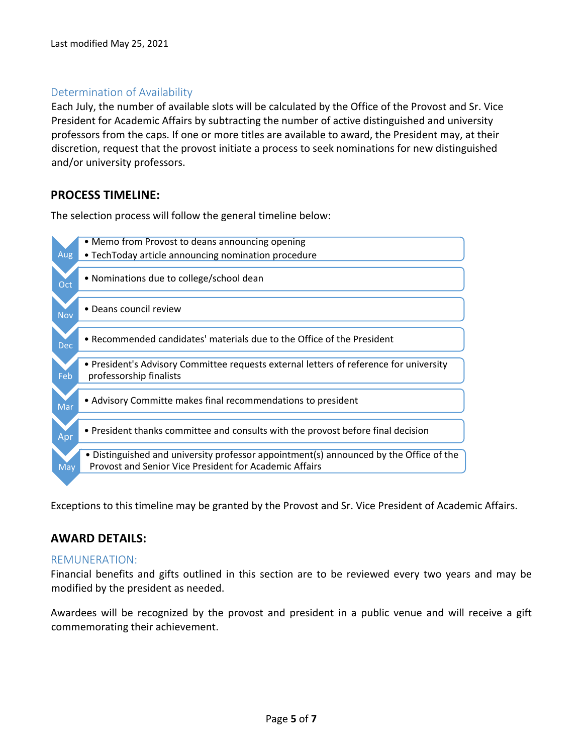# Determination of Availability

Each July, the number of available slots will be calculated by the Office of the Provost and Sr. Vice President for Academic Affairs by subtracting the number of active distinguished and university professors from the caps. If one or more titles are available to award, the President may, at their discretion, request that the provost initiate a process to seek nominations for new distinguished and/or university professors.

# **PROCESS TIMELINE:**

The selection process will follow the general timeline below:



Exceptions to this timeline may be granted by the Provost and Sr. Vice President of Academic Affairs.

# **AWARD DETAILS:**

# REMUNERATION:

Financial benefits and gifts outlined in this section are to be reviewed every two years and may be modified by the president as needed.

Awardees will be recognized by the provost and president in a public venue and will receive a gift commemorating their achievement.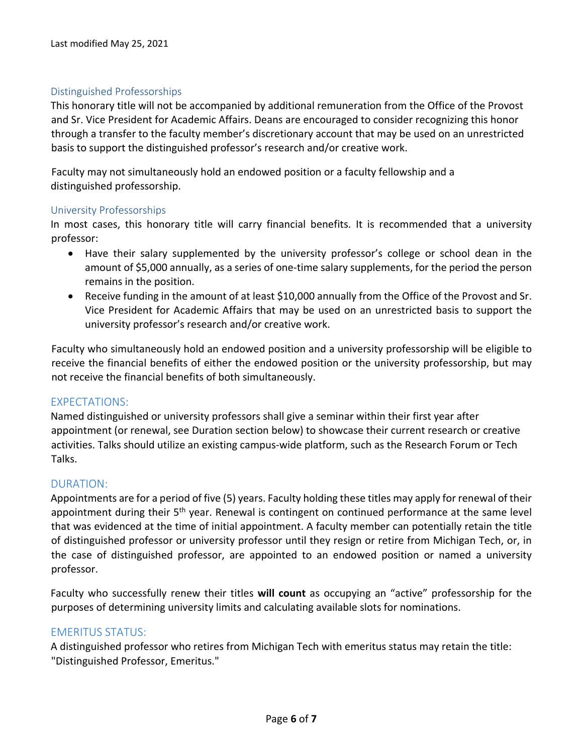## Distinguished Professorships

This honorary title will not be accompanied by additional remuneration from the Office of the Provost and Sr. Vice President for Academic Affairs. Deans are encouraged to consider recognizing this honor through a transfer to the faculty member's discretionary account that may be used on an unrestricted basis to support the distinguished professor's research and/or creative work.

Faculty may not simultaneously hold an endowed position or a faculty fellowship and a distinguished professorship.

#### University Professorships

In most cases, this honorary title will carry financial benefits. It is recommended that a university professor:

- Have their salary supplemented by the university professor's college or school dean in the amount of \$5,000 annually, as a series of one-time salary supplements, for the period the person remains in the position.
- Receive funding in the amount of at least \$10,000 annually from the Office of the Provost and Sr. Vice President for Academic Affairs that may be used on an unrestricted basis to support the university professor's research and/or creative work.

Faculty who simultaneously hold an endowed position and a university professorship will be eligible to receive the financial benefits of either the endowed position or the university professorship, but may not receive the financial benefits of both simultaneously.

## EXPECTATIONS:

Named distinguished or university professors shall give a seminar within their first year after appointment (or renewal, see Duration section below) to showcase their current research or creative activities. Talks should utilize an existing campus-wide platform, such as the Research Forum or Tech Talks.

## DURATION:

Appointments are for a period of five (5) years. Faculty holding these titles may apply for renewal of their appointment during their 5<sup>th</sup> year. Renewal is contingent on continued performance at the same level that was evidenced at the time of initial appointment. A faculty member can potentially retain the title of distinguished professor or university professor until they resign or retire from Michigan Tech, or, in the case of distinguished professor, are appointed to an endowed position or named a university professor.

Faculty who successfully renew their titles **will count** as occupying an "active" professorship for the purposes of determining university limits and calculating available slots for nominations.

## EMERITUS STATUS:

A distinguished professor who retires from Michigan Tech with emeritus status may retain the title: "Distinguished Professor, Emeritus."